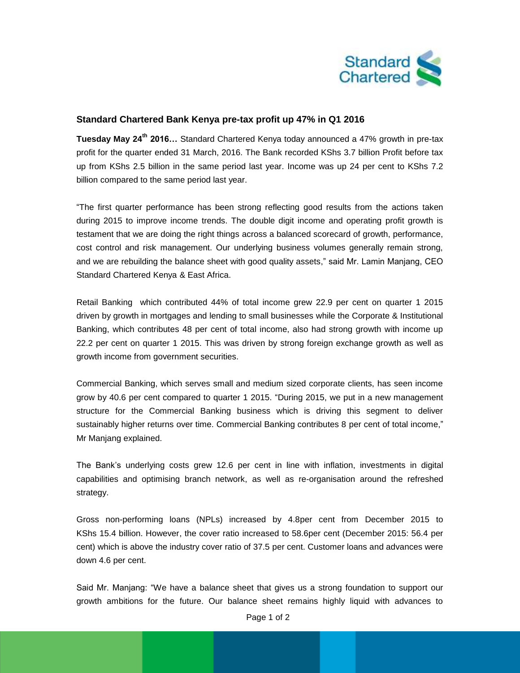

## **Standard Chartered Bank Kenya pre-tax profit up 47% in Q1 2016**

**Tuesday May 24th 2016…** Standard Chartered Kenya today announced a 47% growth in pre-tax profit for the quarter ended 31 March, 2016. The Bank recorded KShs 3.7 billion Profit before tax up from KShs 2.5 billion in the same period last year. Income was up 24 per cent to KShs 7.2 billion compared to the same period last year.

"The first quarter performance has been strong reflecting good results from the actions taken during 2015 to improve income trends. The double digit income and operating profit growth is testament that we are doing the right things across a balanced scorecard of growth, performance, cost control and risk management. Our underlying business volumes generally remain strong, and we are rebuilding the balance sheet with good quality assets," said Mr. Lamin Manjang, CEO Standard Chartered Kenya & East Africa.

Retail Banking which contributed 44% of total income grew 22.9 per cent on quarter 1 2015 driven by growth in mortgages and lending to small businesses while the Corporate & Institutional Banking, which contributes 48 per cent of total income, also had strong growth with income up 22.2 per cent on quarter 1 2015. This was driven by strong foreign exchange growth as well as growth income from government securities.

Commercial Banking, which serves small and medium sized corporate clients, has seen income grow by 40.6 per cent compared to quarter 1 2015. "During 2015, we put in a new management structure for the Commercial Banking business which is driving this segment to deliver sustainably higher returns over time. Commercial Banking contributes 8 per cent of total income," Mr Manjang explained.

The Bank's underlying costs grew 12.6 per cent in line with inflation, investments in digital capabilities and optimising branch network, as well as re-organisation around the refreshed strategy.

Gross non-performing loans (NPLs) increased by 4.8per cent from December 2015 to KShs 15.4 billion. However, the cover ratio increased to 58.6per cent (December 2015: 56.4 per cent) which is above the industry cover ratio of 37.5 per cent. Customer loans and advances were down 4.6 per cent.

Said Mr. Manjang: "We have a balance sheet that gives us a strong foundation to support our growth ambitions for the future. Our balance sheet remains highly liquid with advances to